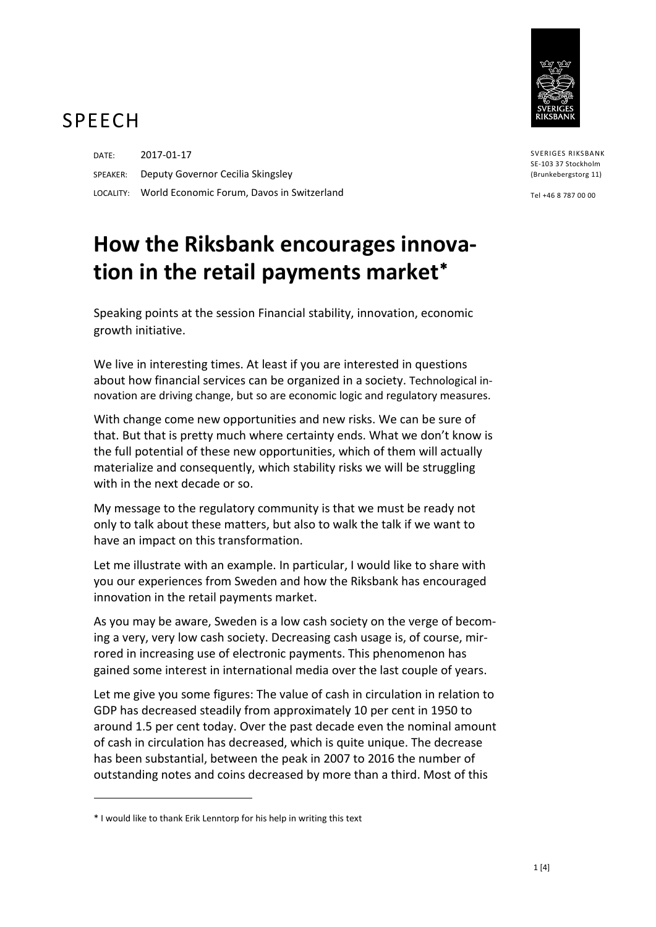

## SPEECH

DATE: 2017-01-17 SPEAKER: Deputy Governor Cecilia Skingsley LOCALITY: World Economic Forum, Davos in Switzerland

## **How the Riksbank encourages innovation in the retail payments market**[∗](#page-0-0)

Speaking points at the session Financial stability, innovation, economic growth initiative.

We live in interesting times. At least if you are interested in questions about how financial services can be organized in a society. Technological innovation are driving change, but so are economic logic and regulatory measures.

With change come new opportunities and new risks. We can be sure of that. But that is pretty much where certainty ends. What we don't know is the full potential of these new opportunities, which of them will actually materialize and consequently, which stability risks we will be struggling with in the next decade or so.

My message to the regulatory community is that we must be ready not only to talk about these matters, but also to walk the talk if we want to have an impact on this transformation.

Let me illustrate with an example. In particular, I would like to share with you our experiences from Sweden and how the Riksbank has encouraged innovation in the retail payments market.

As you may be aware, Sweden is a low cash society on the verge of becoming a very, very low cash society. Decreasing cash usage is, of course, mirrored in increasing use of electronic payments. This phenomenon has gained some interest in international media over the last couple of years.

Let me give you some figures: The value of cash in circulation in relation to GDP has decreased steadily from approximately 10 per cent in 1950 to around 1.5 per cent today. Over the past decade even the nominal amount of cash in circulation has decreased, which is quite unique. The decrease has been substantial, between the peak in 2007 to 2016 the number of outstanding notes and coins decreased by more than a third. Most of this

 $\overline{a}$ 

SVERIGES RIKSBANK SE-103 37 Stockholm (Brunkebergstorg 11)

Tel +46 8 787 00 00

<span id="page-0-0"></span><sup>\*</sup> I would like to thank Erik Lenntorp for his help in writing this text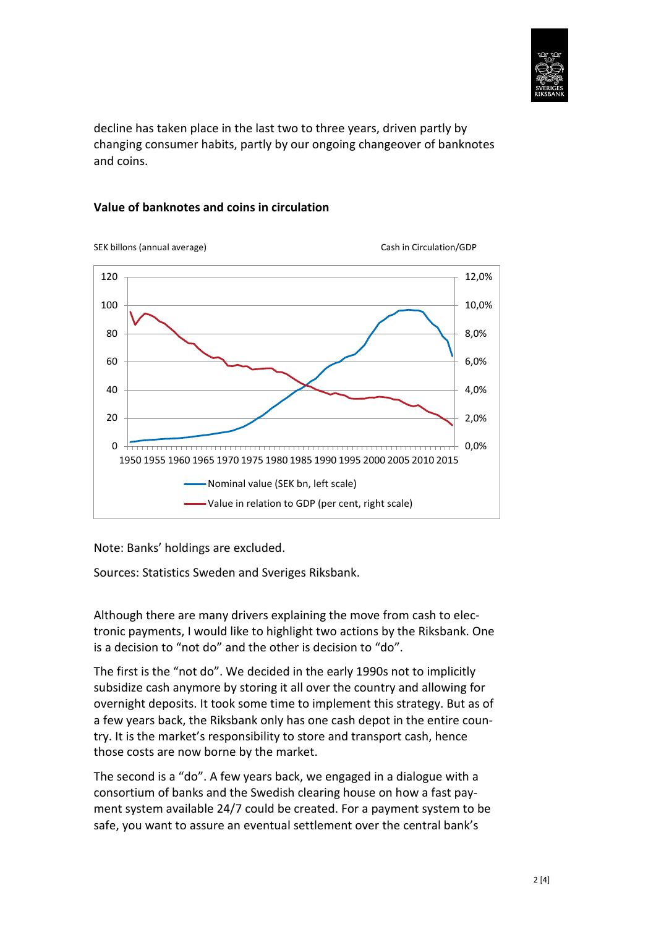

decline has taken place in the last two to three years, driven partly by changing consumer habits, partly by our ongoing changeover of banknotes and coins.

## **Value of banknotes and coins in circulation**



Note: Banks' holdings are excluded.

Sources: Statistics Sweden and Sveriges Riksbank.

Although there are many drivers explaining the move from cash to electronic payments, I would like to highlight two actions by the Riksbank. One is a decision to "not do" and the other is decision to "do".

The first is the "not do". We decided in the early 1990s not to implicitly subsidize cash anymore by storing it all over the country and allowing for overnight deposits. It took some time to implement this strategy. But as of a few years back, the Riksbank only has one cash depot in the entire country. It is the market's responsibility to store and transport cash, hence those costs are now borne by the market.

The second is a "do". A few years back, we engaged in a dialogue with a consortium of banks and the Swedish clearing house on how a fast payment system available 24/7 could be created. For a payment system to be safe, you want to assure an eventual settlement over the central bank's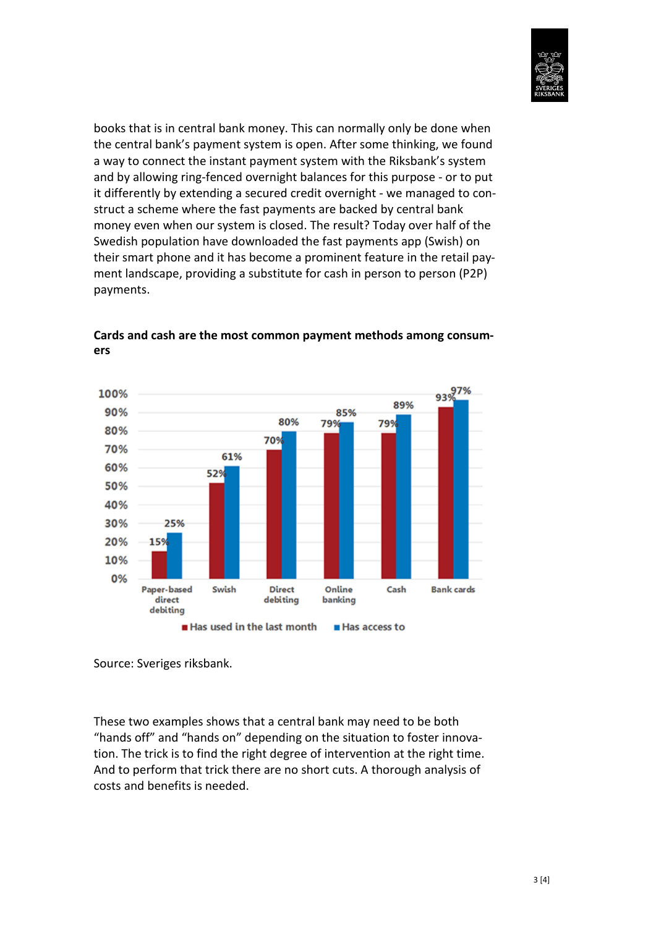

books that is in central bank money. This can normally only be done when the central bank's payment system is open. After some thinking, we found a way to connect the instant payment system with the Riksbank's system and by allowing ring-fenced overnight balances for this purpose - or to put it differently by extending a secured credit overnight - we managed to construct a scheme where the fast payments are backed by central bank money even when our system is closed. The result? Today over half of the Swedish population have downloaded the fast payments app (Swish) on their smart phone and it has become a prominent feature in the retail payment landscape, providing a substitute for cash in person to person (P2P) payments.



**Cards and cash are the most common payment methods among consumers**

Source: Sveriges riksbank.

These two examples shows that a central bank may need to be both "hands off" and "hands on" depending on the situation to foster innovation. The trick is to find the right degree of intervention at the right time. And to perform that trick there are no short cuts. A thorough analysis of costs and benefits is needed.